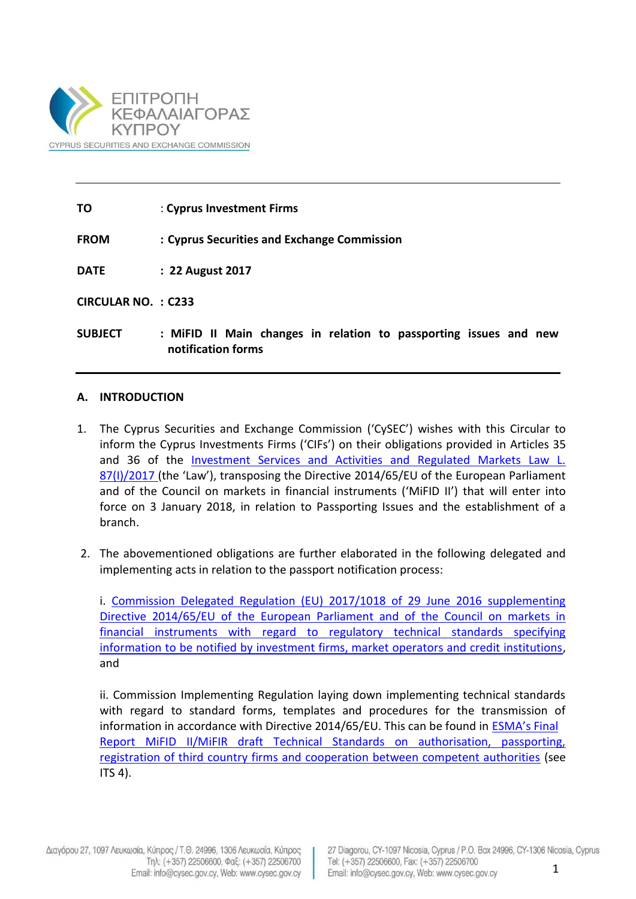

**TO** : **Cyprus Investment Firms**

**FROM : Cyprus Securities and Exchange Commission**

**DATE : 22 August 2017**

**CIRCULAR NO. : C233**

**SUBJECT : [MiFID II Main changes in relation to passporting issues and new](http://www.cysec.gov.cy/CMSPages/GetFile.aspx?guid=ec874b87-75e8-4a94-8bed-37ff90a748fc)  [notification forms](http://www.cysec.gov.cy/CMSPages/GetFile.aspx?guid=ec874b87-75e8-4a94-8bed-37ff90a748fc)**

## **A. INTRODUCTION**

- 1. The Cyprus Securities and Exchange Commission ('CySEC') wishes with this Circular to inform the Cyprus Investments Firms ('CIFs') on their obligations provided in Articles 35 and 36 of the [Investment Services and Activities and Regulated Markets Law L.](http://www.cysec.gov.cy/CMSPages/GetFile.aspx?guid=3e663419-b520-417c-822d-0e5142fc6732)  [87\(I\)/2017](http://www.cysec.gov.cy/CMSPages/GetFile.aspx?guid=3e663419-b520-417c-822d-0e5142fc6732) (the 'Law'), transposing the Directive 2014/65/EU of the European Parliament and of the Council on markets in financial instruments ('MiFID II') that will enter into force on 3 January 2018, in relation to Passporting Issues and the establishment of a branch.
- 2. The abovementioned obligations are further elaborated in the following delegated and implementing acts in relation to the passport notification process:

i. [Commission Delegated Regulation \(EU\) 2017/1018 of 29 June 2016 supplementing](http://eur-lex.europa.eu/legal-content/EN/TXT/?uri=CELEX:32017R1018) [Directive 2014/65/EU of the European Parliament and of the Council on markets in](http://eur-lex.europa.eu/legal-content/EN/TXT/?uri=CELEX:32017R1018)  [financial instruments with regard to regulatory technical standards specifying](http://eur-lex.europa.eu/legal-content/EN/TXT/?uri=CELEX:32017R1018)  [information to be notified by investment firms, market operators and credit institutions,](http://eur-lex.europa.eu/legal-content/EN/TXT/?uri=CELEX:32017R1018) and

ii. Commission Implementing Regulation laying down implementing technical standards with regard to standard forms, templates and procedures for the transmission of information in accordance with Directive 2014/65/EU. This can be found in [ESMA's Final](https://www.esma.europa.eu/sites/default/files/library/2015/11/2015-esma-1006_-_mifid_ii_final_report_on_mifid_ip_technical_standards.pdf) [Report MiFID II/MiFIR draft Technical Standards on authorisation, passporting,](https://www.esma.europa.eu/sites/default/files/library/2015/11/2015-esma-1006_-_mifid_ii_final_report_on_mifid_ip_technical_standards.pdf) [registration of third country firms and cooperation between competent authorities](https://www.esma.europa.eu/sites/default/files/library/2015/11/2015-esma-1006_-_mifid_ii_final_report_on_mifid_ip_technical_standards.pdf) (see  $ITS 4).$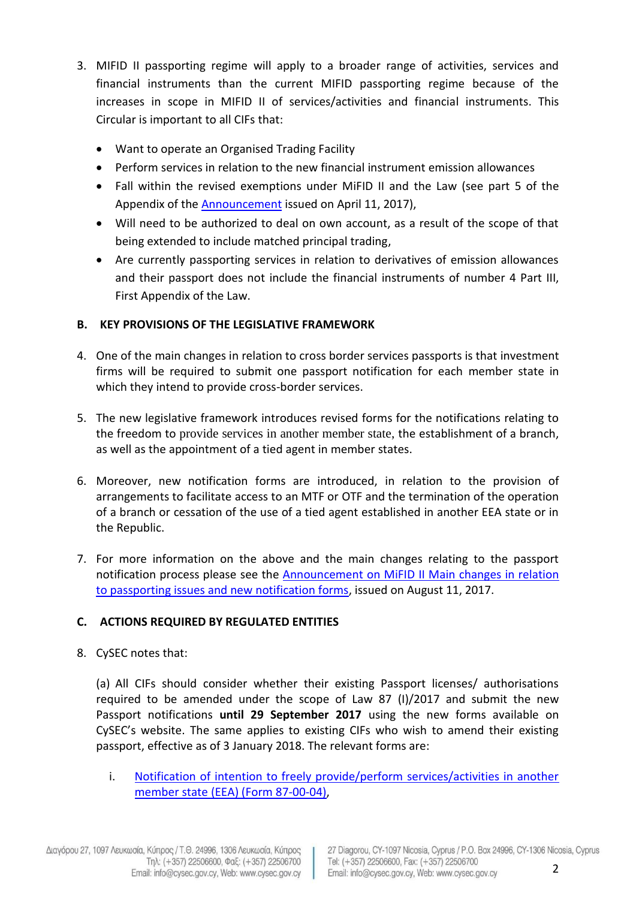- 3. MIFID II passporting regime will apply to a broader range of activities, services and financial instruments than the current MIFID passporting regime because of the increases in scope in MIFID II of services/activities and financial instruments. This Circular is important to all CIFs that:
	- Want to operate an Organised Trading Facility
	- Perform services in relation to the new financial instrument emission allowances
	- Fall within the revised exemptions under MiFID II and the Law (see part 5 of the Appendix of the [Announcement](http://www.cysec.gov.cy/CMSPages/GetFile.aspx?guid=67a91063-8d55-432b-95bb-68d2dd5ebe22) issued on April 11, 2017),
	- Will need to be authorized to deal on own account, as a result of the scope of that being extended to include matched principal trading,
	- Are currently passporting services in relation to derivatives of emission allowances and their passport does not include the financial instruments of number 4 Part III, First Appendix of the Law.

## **B. KEY PROVISIONS OF THE LEGISLATIVE FRAMEWORK**

- 4. One of the main changes in relation to cross border services passports is that investment firms will be required to submit one passport notification for each member state in which they intend to provide cross-border services.
- 5. The new legislative framework introduces revised forms for the notifications relating to the freedom to provide services in another member state, the establishment of a branch, as well as the appointment of a tied agent in member states.
- 6. Moreover, new notification forms are introduced, in relation to the provision of arrangements to facilitate access to an MTF or OTF and the termination of the operation of a branch or cessation of the use of a tied agent established in another EEA state or in the Republic.
- 7. For more information on the above and the main changes relating to the passport notification process please see the [Announcement on MiFID II Main changes in relation](http://www.cysec.gov.cy/CMSPages/GetFile.aspx?guid=ec874b87-75e8-4a94-8bed-37ff90a748fc)  [to passporting issues and new notification forms,](http://www.cysec.gov.cy/CMSPages/GetFile.aspx?guid=ec874b87-75e8-4a94-8bed-37ff90a748fc) issued on August 11, 2017.

## **C. ACTIONS REQUIRED BY REGULATED ENTITIES**

8. CySEC notes that:

(a) All CIFs should consider whether their existing Passport licenses/ authorisations required to be amended under the scope of Law 87 (Ι)/2017 and submit the new Passport notifications **until 29 September 2017** using the new forms available on CySEC's website. The same applies to existing CIFs who wish to amend their existing passport, effective as of 3 January 2018. The relevant forms are:

i. [Notification of intention to freely provide/perform services/activities in another](http://www.cysec.gov.cy/en-GB/legislation/services-markets/epey/MIFID-II-MIFIR-FORMS/43830/)  [member state \(EEA\) \(Form 87-00-04\),](http://www.cysec.gov.cy/en-GB/legislation/services-markets/epey/MIFID-II-MIFIR-FORMS/43830/)